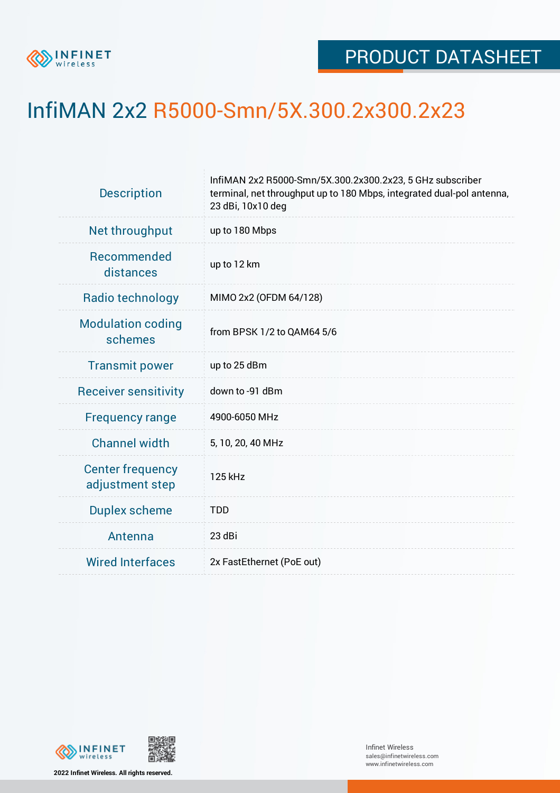

## InfiMAN 2x2 R5000-Smn/5X.300.2x300.2x23

| <b>Description</b>                         | InfiMAN 2x2 R5000-Smn/5X.300.2x300.2x23, 5 GHz subscriber<br>terminal, net throughput up to 180 Mbps, integrated dual-pol antenna,<br>23 dBi, 10x10 deg |  |  |  |  |
|--------------------------------------------|---------------------------------------------------------------------------------------------------------------------------------------------------------|--|--|--|--|
| Net throughput                             | up to 180 Mbps                                                                                                                                          |  |  |  |  |
| Recommended<br>distances                   | up to 12 km                                                                                                                                             |  |  |  |  |
| Radio technology                           | MIMO 2x2 (OFDM 64/128)                                                                                                                                  |  |  |  |  |
| <b>Modulation coding</b><br>schemes        | from BPSK 1/2 to QAM64 5/6                                                                                                                              |  |  |  |  |
| <b>Transmit power</b>                      | up to 25 dBm                                                                                                                                            |  |  |  |  |
| <b>Receiver sensitivity</b>                | down to -91 dBm                                                                                                                                         |  |  |  |  |
| <b>Frequency range</b>                     | 4900-6050 MHz                                                                                                                                           |  |  |  |  |
| <b>Channel width</b>                       | 5, 10, 20, 40 MHz                                                                                                                                       |  |  |  |  |
| <b>Center frequency</b><br>adjustment step | 125 kHz                                                                                                                                                 |  |  |  |  |
| <b>Duplex scheme</b>                       | <b>TDD</b>                                                                                                                                              |  |  |  |  |
| Antenna                                    | 23 dBi                                                                                                                                                  |  |  |  |  |
| <b>Wired Interfaces</b>                    | 2x FastEthernet (PoE out)                                                                                                                               |  |  |  |  |





Infinet Wireless sales@infinetwireless.com www.infinetwireless.com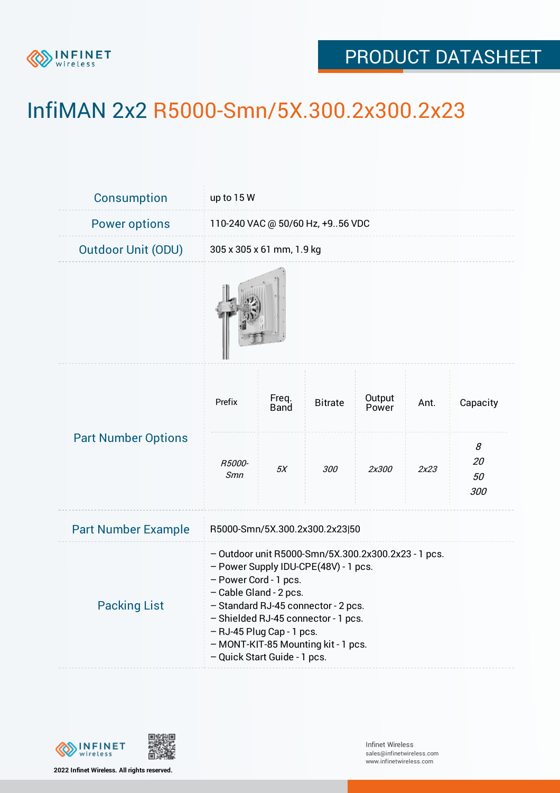

## PRODUCT DATASHEET

## InfiMAN 2x2 R5000-Smn/5X.300.2x300.2x23

| Consumption                | up to 15 W                                                                                                                                                                                                                                                                                                                       |               |                |                 |      |                      |  |  |
|----------------------------|----------------------------------------------------------------------------------------------------------------------------------------------------------------------------------------------------------------------------------------------------------------------------------------------------------------------------------|---------------|----------------|-----------------|------|----------------------|--|--|
| <b>Power options</b>       | 110-240 VAC @ 50/60 Hz, +956 VDC                                                                                                                                                                                                                                                                                                 |               |                |                 |      |                      |  |  |
| <b>Outdoor Unit (ODU)</b>  | 305 x 305 x 61 mm, 1.9 kg                                                                                                                                                                                                                                                                                                        |               |                |                 |      |                      |  |  |
|                            |                                                                                                                                                                                                                                                                                                                                  |               |                |                 |      |                      |  |  |
| <b>Part Number Options</b> | Prefix                                                                                                                                                                                                                                                                                                                           | Freq.<br>Band | <b>Bitrate</b> | Output<br>Power | Ant. | Capacity             |  |  |
|                            | <i>R5000-</i><br>Smn                                                                                                                                                                                                                                                                                                             | 5X            | <i>300</i>     | 2x300           | 2x23 | 8<br>20<br>50<br>300 |  |  |
| <b>Part Number Example</b> | R5000-Smn/5X.300.2x300.2x23 50                                                                                                                                                                                                                                                                                                   |               |                |                 |      |                      |  |  |
| <b>Packing List</b>        | - Outdoor unit R5000-Smn/5X.300.2x300.2x23 - 1 pcs.<br>- Power Supply IDU-CPE(48V) - 1 pcs.<br>- Power Cord - 1 pcs.<br>- Cable Gland - 2 pcs.<br>- Standard RJ-45 connector - 2 pcs.<br>- Shielded RJ-45 connector - 1 pcs.<br>- RJ-45 Plug Cap - 1 pcs.<br>- MONT-KIT-85 Mounting kit - 1 pcs.<br>- Quick Start Guide - 1 pcs. |               |                |                 |      |                      |  |  |



**2022 Infinet Wireless. All rights reserved.**

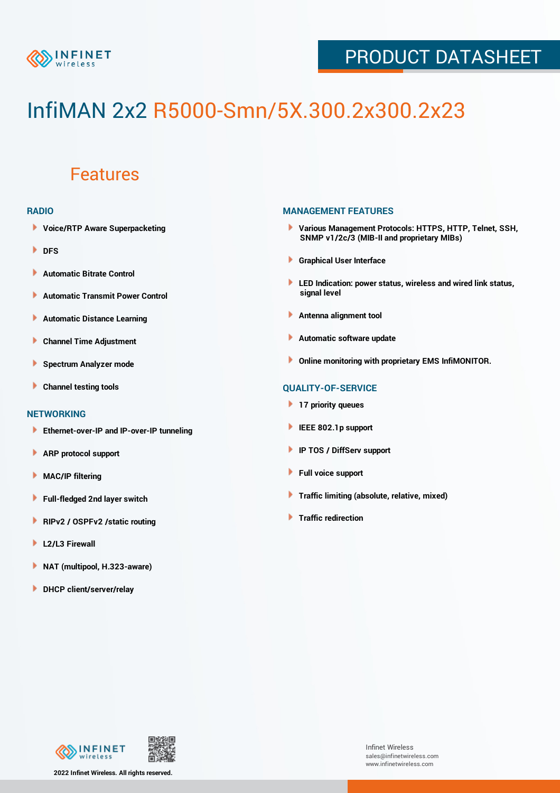

## PRODUCT DATASHEET

# InfiMAN 2x2 R5000-Smn/5X.300.2x300.2x23

### Features

#### **RADIO**

- **Voice/RTP Aware Superpacketing**
- **DFS**
- **Automatic Bitrate Control** Þ
- Þ **Automatic Transmit Power Control**
- Þ **Automatic Distance Learning**
- Þ **Channel Time Adjustment**
- Þ **Spectrum Analyzer mode**
- Þ **Channel testing tools**

#### **NETWORKING**

- **Ethernet-over-IP and IP-over-IP tunneling**
- Þ **ARP protocol support**
- Þ **MAC/IP filtering**
- Þ **Full-fledged 2nd layer switch**
- Þ **RIPv2 / OSPFv2 /static routing**
- ۱ **L2/L3 Firewall**
- ١ **NAT (multipool, H.323-aware)**
- **DHCP client/server/relay**

#### **MANAGEMENT FEATURES**

- **Various Management Protocols: HTTPS, HTTP, Telnet, SSH, SNMP v1/2c/3 (MIB-II and proprietary MIBs)**
- **Graphical User Interface**
- **LED Indication: power status, wireless and wired link status, signal level**
- **Antenna alignment tool**
- ٠ **Automatic software update**
- **Online monitoring with proprietary EMS InfiMONITOR.**

#### **QUALITY-OF-SERVICE**

- **17 priority queues**
- **IEEE 802.1p support**
- **IP TOS / DiffServ support**
- ٠ **Full voice support**
- **Traffic limiting (absolute, relative, mixed)** ٠
- **Traffic redirection**